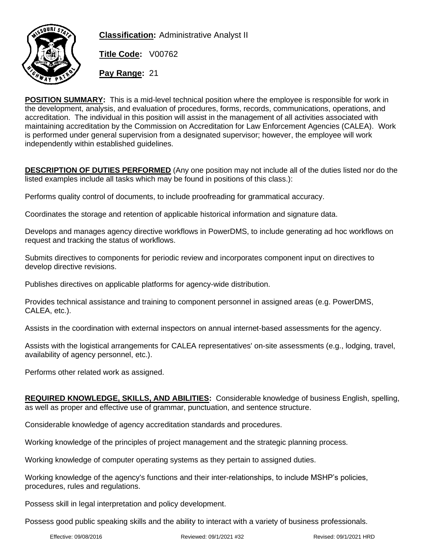

**Classification:** Administrative Analyst II

**Title Code:** V00762

**Pay Range:** 21

**POSITION SUMMARY:** This is a mid-level technical position where the employee is responsible for work in the development, analysis, and evaluation of procedures, forms, records, communications, operations, and accreditation. The individual in this position will assist in the management of all activities associated with maintaining accreditation by the Commission on Accreditation for Law Enforcement Agencies (CALEA). Work is performed under general supervision from a designated supervisor; however, the employee will work independently within established guidelines.

**DESCRIPTION OF DUTIES PERFORMED** (Any one position may not include all of the duties listed nor do the listed examples include all tasks which may be found in positions of this class.):

Performs quality control of documents, to include proofreading for grammatical accuracy.

Coordinates the storage and retention of applicable historical information and signature data.

Develops and manages agency directive workflows in PowerDMS, to include generating ad hoc workflows on request and tracking the status of workflows.

Submits directives to components for periodic review and incorporates component input on directives to develop directive revisions.

Publishes directives on applicable platforms for agency-wide distribution.

Provides technical assistance and training to component personnel in assigned areas (e.g. PowerDMS, CALEA, etc.).

Assists in the coordination with external inspectors on annual internet-based assessments for the agency.

Assists with the logistical arrangements for CALEA representatives' on-site assessments (e.g., lodging, travel, availability of agency personnel, etc.).

Performs other related work as assigned.

**REQUIRED KNOWLEDGE, SKILLS, AND ABILITIES:** Considerable knowledge of business English, spelling, as well as proper and effective use of grammar, punctuation, and sentence structure.

Considerable knowledge of agency accreditation standards and procedures.

Working knowledge of the principles of project management and the strategic planning process.

Working knowledge of computer operating systems as they pertain to assigned duties.

Working knowledge of the agency's functions and their inter-relationships, to include MSHP's policies, procedures, rules and regulations.

Possess skill in legal interpretation and policy development.

Possess good public speaking skills and the ability to interact with a variety of business professionals.

Effective: 09/08/2016 Reviewed: 09/1/2021 #32 Revised: 09/1/2021 HRD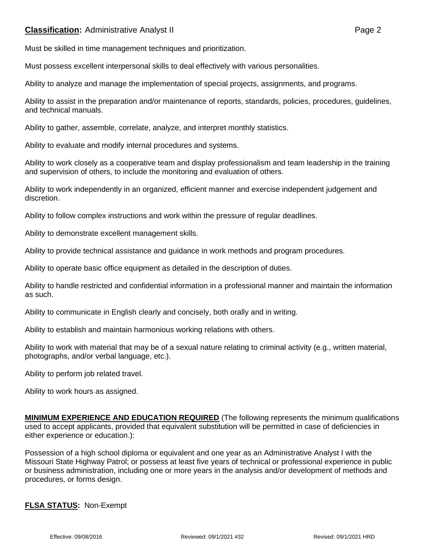## **Classification:** Administrative Analyst II **Classification:** Page 2

Must be skilled in time management techniques and prioritization.

Must possess excellent interpersonal skills to deal effectively with various personalities.

Ability to analyze and manage the implementation of special projects, assignments, and programs.

Ability to assist in the preparation and/or maintenance of reports, standards, policies, procedures, guidelines, and technical manuals.

Ability to gather, assemble, correlate, analyze, and interpret monthly statistics.

Ability to evaluate and modify internal procedures and systems.

Ability to work closely as a cooperative team and display professionalism and team leadership in the training and supervision of others, to include the monitoring and evaluation of others.

Ability to work independently in an organized, efficient manner and exercise independent judgement and discretion.

Ability to follow complex instructions and work within the pressure of regular deadlines.

Ability to demonstrate excellent management skills.

Ability to provide technical assistance and guidance in work methods and program procedures.

Ability to operate basic office equipment as detailed in the description of duties.

Ability to handle restricted and confidential information in a professional manner and maintain the information as such.

Ability to communicate in English clearly and concisely, both orally and in writing.

Ability to establish and maintain harmonious working relations with others.

Ability to work with material that may be of a sexual nature relating to criminal activity (e.g., written material, photographs, and/or verbal language, etc.).

Ability to perform job related travel.

Ability to work hours as assigned.

**MINIMUM EXPERIENCE AND EDUCATION REQUIRED** (The following represents the minimum qualifications used to accept applicants, provided that equivalent substitution will be permitted in case of deficiencies in either experience or education.):

Possession of a high school diploma or equivalent and one year as an Administrative Analyst I with the Missouri State Highway Patrol; or possess at least five years of technical or professional experience in public or business administration, including one or more years in the analysis and/or development of methods and procedures, or forms design.

## **FLSA STATUS:** Non-Exempt